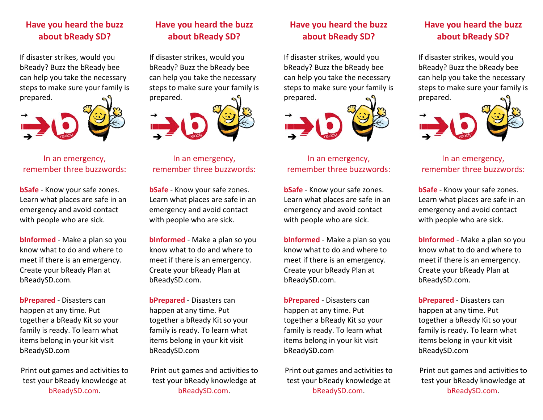# **Have you heard the buzz about bReady SD?**

If disaster strikes, would you bReady? Buzz the bReady bee can help you take the necessary steps to make sure your family is prepared.



In an emergency, remember three buzzwords:

**bSafe** ‐ Know your safe zones. Learn what places are safe in an emergency and avoid contact with people who are sick.

**bInformed** ‐ Make <sup>a</sup> plan so you know what to do and where to meet if there is an emergency. Create your bReady Plan at bReadySD.com.

**bPrepared** ‐ Disasters can happen at any time. Put together <sup>a</sup> bReady Kit so your family is ready. To learn what items belong in your kit visit bReadySD.com

Print out games and activities to test your bReady knowledge at bReadySD.com.

# **Have you heard the buzz about bReady SD?**

If disaster strikes, would you bReady? Buzz the bReady bee can help you take the necessary steps to make sure your family is prepared.



### In an emergency, remember three buzzwords:

**bSafe** ‐ Know your safe zones. Learn what places are safe in an emergency and avoid contact with people who are sick.

**bInformed** ‐ Make <sup>a</sup> plan so you know what to do and where to meet if there is an emergency. Create your bReady Plan at bReadySD.com.

**bPrepared** ‐ Disasters can happen at any time. Put together <sup>a</sup> bReady Kit so your family is ready. To learn what items belong in your kit visit bReadySD.com

Print out games and activities to test your bReady knowledge at bReadySD.com.

# **Have you heard the buzz about bReady SD?**

If disaster strikes, would you bReady? Buzz the bReady bee can help you take the necessary steps to make sure your family is prepared.



## In an emergency, remember three buzzwords:

**bSafe** ‐ Know your safe zones. Learn what places are safe in an emergency and avoid contact with people who are sick.

**bInformed** ‐ Make <sup>a</sup> plan so you know what to do and where to meet if there is an emergency. Create your bReady Plan at bReadySD.com.

**bPrepared** ‐ Disasters can happen at any time. Put together <sup>a</sup> bReady Kit so your family is ready. To learn what items belong in your kit visit bReadySD.com

Print out games and activities to test your bReady knowledge at bReadySD.com.

# **Have you heard the buzz about bReady SD?**

If disaster strikes, would you bReady? Buzz the bReady bee can help you take the necessary steps to make sure your family is prepared.



## In an emergency, remember three buzzwords:

**bSafe** ‐ Know your safe zones. Learn what places are safe in an emergency and avoid contact with people who are sick.

**bInformed** ‐ Make <sup>a</sup> plan so you know what to do and where to meet if there is an emergency. Create your bReady Plan at bReadySD.com.

**bPrepared** ‐ Disasters can happen at any time. Put together <sup>a</sup> bReady Kit so your family is ready. To learn what items belong in your kit visit bReadySD.com

Print out games and activities to test your bReady knowledge at bReadySD.com.